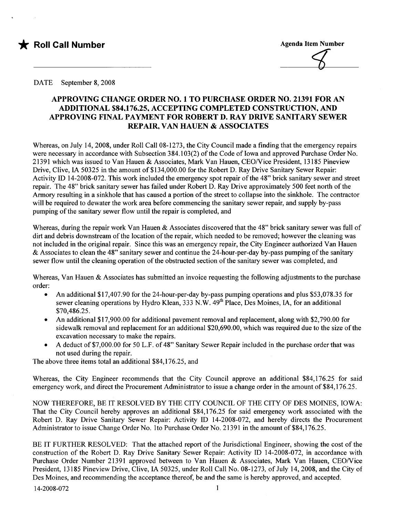

#### DATE September 8, 2008

## APPROVING CHANGE ORDER NO.1 TO PURCHASE ORDER NO. 21391 FOR AN ADDITIONAL \$84.176.25. ACCEPTING COMPLETED CONSTRUCTION. AND APPROVING FINAL PAYMENT FOR ROBERT D. RAY DRIVE SANITARY SEWER REPAIR. VAN HAUEN & ASSOCIATES

Whereas, on July 14,2008, under Roll Call 08-1273, the City Council made a finding that the emergency repairs were necessary in accordance with Subsection 384.103(2) of the Code of Iowa and approved Purchase Order No. 21391 which was issued to Van Hauen & Associates, Mark Van Hauen, CEO/Vice President, 13185 Pineview Drive, Clive, IA 50325 in the amount of \$134,000.00 for the Robert D. Ray Drive Sanitary Sewer Repair: Activity ID 14-2008-072. This work included the emergency spot repair of the 48" brick sanitary sewer and street repair. The 48" brick sanitary sewer has failed under Robert D. Ray Drive approximately 500 feet north of the Armory resulting in a sinkhole that has caused a portion of the street to collapse into the sinkhole. The contractor will be required to dewater the work area before commencing the sanitary sewer repair, and supply by-pass pumping of the sanitary sewer flow until the repair is completed, and

Whereas, during the repair work Van Hauen & Associates discovered that the 48" brick sanitary sewer was full of dirt and debris downstream of the location of the repair, which needed to be removed; however the cleaning was not included in the original repair. Since this was an emergency repair, the City Engineer authorized Van Hauen & Associates to clean the 48" sanitary sewer and continue the 24-hour-per-day by-pass pumping of the sanita sewer flow until the cleaning operation of the obstructed section of the sanitary sewer was completed, and

Whereas, Van Hauen & Associates has submitted an invoice requesting the following adjustments to the purchase order:

- . An additional \$17,407.90 for the 24-hour-per-day by-pass pumping operations and plus \$53,078.35 for sewer cleaning operations by Hydro Klean, 333 N.W. 49<sup>th</sup> Place, Des Moines, IA, for an additional \$70,486.25.
- . An additional \$17,900.00 for additional pavement removal and replacement, along with \$2,790.00 for sidewalk removal and replacement for an additional \$20,690.00, which was required due to the size of the excavation necessary to make the repairs.
- . A deduct of \$7,000.00 for 50 L.F. of 48" Sanitary Sewer Repair included in the purchase order that was not used during the repair.

The above three items total an additional \$84,176.25, and

Whereas, the City Engineer recommends that the City Council approve an additional \$84,176.25 for said emergency work, and direct the Procurement Administrator to issue a change order in the amount of \$84, 176.25.

NOW THEREFORE, BE IT RESOLVED BY THE CITY COUNCIL OF THE CITY OF DES MOINES, LOW A: That the City Council hereby approves an additional \$84,176.25 for said emergency work associated with the Robert D. Ray Drive Sanitary Sewer Repair: Activity ID 14-2008-072, and hereby directs the Procurement Administrator to issue Change Order No. 1to Purchase Order No. 21391 in the amount of \$84,176.25.

BE IT FURTHER RESOLVED: That the attached report of the Jurisdictional Engineer, showing the cost of the construction of the Robert D. Ray Drive Sanitary Sewer Repair: Activity ID 14-2008-072, in accordance with Purchase Order Number 21391 approved between to Van Hauen & Associates, Mark Van Hauen, CEO/Vice President, 13185 Pineview Drive, Clive, IA 50325, under Roll Call No. 08-1273, of July 14, 2008, and the City of Des Moines, and recommending the acceptance thereof, be and the same is hereby approved, and accepted.<br>14-2008-072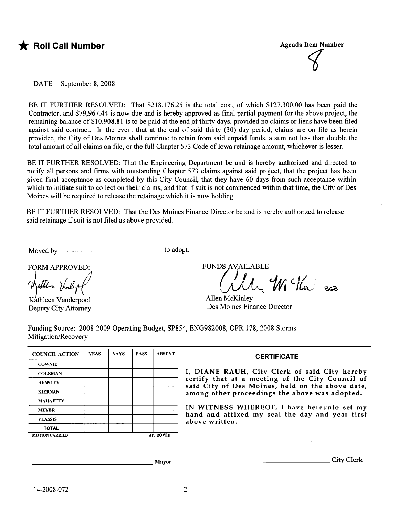

DATE September 8, 2008

BE IT FURTHER RESOLVED: That \$218,176.25 is the total cost, of which \$127,300.00 has been paid the Contractor, and \$79,967.44 is now due and is hereby approved as final partial payment for the above project, the remaining balance of \$10,908.81 is to be paid at the end of thirty days, provided no claims or liens have been filed against said contract. In the event that at the end of said thirty  $(30)$  day period, claims are on file as herein provided, the City of Des Moines shall continue to retain from said unpaid funds, a sum not less than double the total amount of all claims on fie, or the full Chapter 573 Code of Iowa retainage amount, whichever is lesser.

BE IT FURTHER RESOLVED: That the Engineering Department be and is hereby authorized and directed to notify all persons and firms with outstanding Chapter 573 claims against said project, that the project has been given final acceptance as completed by this City Council, that they have 60 days from such acceptance within which to initiate suit to collect on their claims, and that if suit is not commenced within that time, the City of Des Moines will be required to release the retainage which it is now holding.

BE IT FURTHER RESOLVED: That the Des Moines Finance Director be and is hereby authorized to release said retainage if suit is not filed as above provided.

Moved by  $\qquad$  to adopt.

FORM APPROVED:

Wathlm Innlight

Deputy City Attorney

**FUNDS AVAILABLE** 

 $\mathcal{Y}_{\mathcal{N}}$   $\in$   $\mathcal{V}_{\infty}$   $\subset$ 

Allen McKinley Des Moines Finance Director

Funding Source: 2008-2009 Operating Budget, SP854, ENG982008, OPR 178, 2008 Storms Mitigation/Recovery

| <b>COUNCIL ACTION</b> | <b>YEAS</b> | <b>NAYS</b> | <b>PASS</b> | <b>ABSENT</b>   | <b>CERTIFICATE</b>                                                                                   |
|-----------------------|-------------|-------------|-------------|-----------------|------------------------------------------------------------------------------------------------------|
| <b>COWNIE</b>         |             |             |             |                 |                                                                                                      |
| <b>COLEMAN</b>        |             |             |             |                 | I, DIANE RAUH, City Clerk of said City hereby                                                        |
| <b>HENSLEY</b>        |             |             |             |                 | certify that at a meeting of the City Council of<br>said City of Des Moines, held on the above date, |
| <b>KIERNAN</b>        |             |             |             |                 | among other proceedings the above was adopted.                                                       |
| <b>MAHAFFEY</b>       |             |             |             |                 |                                                                                                      |
| <b>MEYER</b>          |             |             |             |                 | IN WITNESS WHEREOF, I have hereunto set my<br>hand and affixed my seal the day and year first        |
| <b>VLASSIS</b>        |             |             |             |                 | above written.                                                                                       |
| <b>TOTAL</b>          |             |             |             |                 |                                                                                                      |
| <b>MOTION CARRIED</b> |             |             |             | <b>APPROVED</b> |                                                                                                      |
|                       |             |             |             |                 |                                                                                                      |
|                       |             |             |             |                 |                                                                                                      |
|                       |             |             |             | Mayor           | <b>City Clerk</b>                                                                                    |
|                       |             |             |             |                 |                                                                                                      |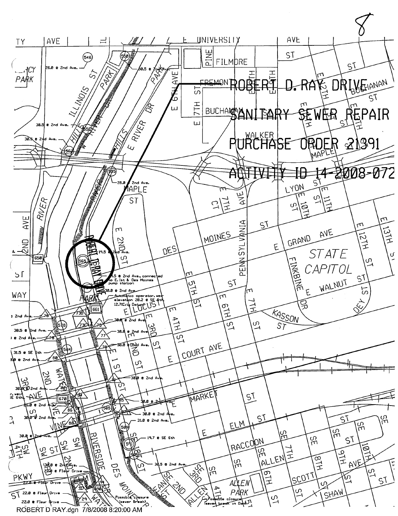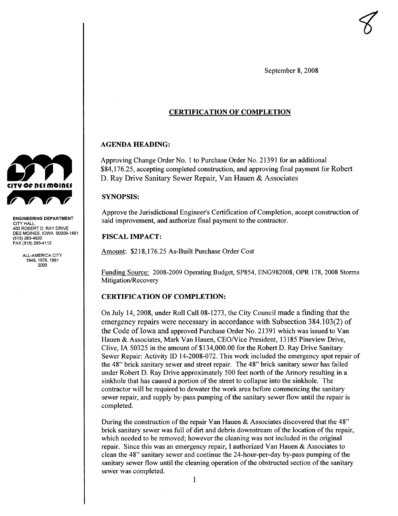September 8, 2008

 $\bigotimes$ 

### CERTIFICATION OF COMPLETION

#### AGENDA HEADING:

Approving Change Order No.1 to Purchase Order No. 21391 for an additional \$84,176.25, accepting completed construction, and approving final payment for Robert D. Ray Drive Sanitary Sewer Repair, Van Hauen & Associates

#### SYNOPSIS:

Approve the Jurisdictional Engineer's Certification of Completion, accept construction of said improvement, and authorize final payment to the contractor.

#### **FISCAL IMPACT:**

Amount: \$218,176.25 As-Built Purchase Order Cost

Funding Source: 2008-2009 Operating Budget, SP854, ENG982008, OPR 178, 2008 Storms Mitigation/Recovery

#### CERTIFICATION OF COMPLETION:

On July 14,2008, under Roll Call 08-1273, the City Council made a finding that the emergency repairs were necessary in accordance with Subsection 384.103(2) of the Code of Iowa and approved Purchase Order No. 21391 which was issued to Van Hauen & Associates, Mark Van Hauen, CEO/Vice President, 13185 Pineview Drive, Clive, IA 50325 in the amount of \$134,000.00 for the Robert D. Ray Drive Sanitary Sewer Repair: Activity ID 14-2008-072. This work included the emergency spot repair of the 48" brick sanitary sewer and street repair. The 48" brick sanitary sewer has failed under Robert D. Ray Drive approximately 500 feet north of the Armory resulting in a sinkhole that has caused a portion of the street to collapse into the sinkhole. The contractor will be required to dewater the work area before commencing the sanitary sewer repair, and supply by-pass pumping of the sanitary sewer flow until the repair is completed.

During the construction of the repair Van Hauen & Associates discovered that the 48" brick sanitary sewer was full of dirt and debris downstream of the location of the repair, which needed to be removed; however the cleaning was not included in the original repair. Since this was an emergency repair, I authorized Van Hauen & Associates to clean the 48" sanitary sewer and continue the 24-hour-per-day by-pass pumping of the sanitary sewer flow until the cleaning operation of the obstructed section of the sanitary sewer was completed.



ENGINEERING DEPARTMENT CITY HALL 400 ROBERT D. RAY DRIVE DES MOINES, IOWA 50309-1891 (515) 283-4920 FAX (515) 283-4112

> ALL-AMERICA CITY 1949, 1976, 1981 2003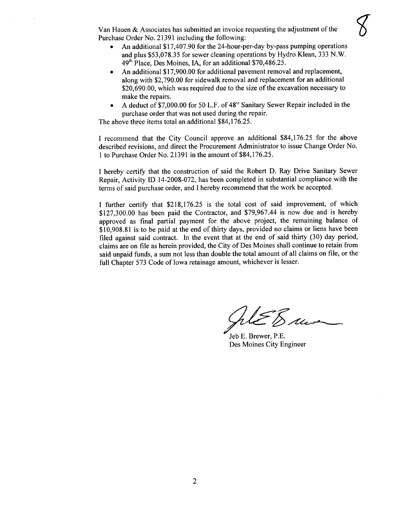Van Hauen & Associates has submitted an invoice requesting the adjustment of the Purchase Order No. 21391 including the following:

- . An additional \$ 17,407.90 for the 24-hour-per-day by-pass pumping operations and plus \$53,078.35 for sewer cleaning operations by Hydro Klean, 333 N.W. 49th Place, Des Moines, lA, for an additional \$70,486.25.
- . An additional \$17,900.00 for additional pavement removal and replacement, along with \$2,790.00 for sidewalk removal and replacement for an additional \$20,690.00, which was required due to the size of the excavation necessary to make the repairs.
- . A deduct of \$7,000.00 for 50 L.F. of 48" Sanitary Sewer Repair included in the purchase order that was not used during the repair.

The above three items total an additional \$84,176.25.

I recommend that the City Council approve an additional \$84,176.25 for the above described revisions, and direct the Procurement Administrator to issue Change Order No. 1 to Purchase Order No. 21391 in the amount of \$84, 176.25.

I hereby certify that the construction of said the Robert D. Ray Drive Sanitary Sewer Repair, Activity ID 14-2008-072, has been completed in substantial compliance with the terms of said purchase order, and I hereby recommend that the work be accepted.

I further certify that \$218,176.25 is the total cost of said improvement, of which \$127,300.00 has been paid the Contractor, and \$79,967.44 is now due and is hereby approved as final partial payment for the above project, the remaining balance of \$10,908.81 is to be paid at the end of thirty days, provided no claims or liens have been filed against said contract. In the event that at the end of said thirty  $(30)$  day period, claims are on fie as herein provided, the City of Des Moines shall continue to retain from said unpaid funds, a sum not less than double the total amount of all claims on fie, or the full Chapter 573 Code of Iowa retainage amount, whichever is lesser.

 $\mathscr{L}\mathscr{E}_{\mathscr{D}}$ 

Jeb E. Brewer, P.E. Des Moines City Engineer